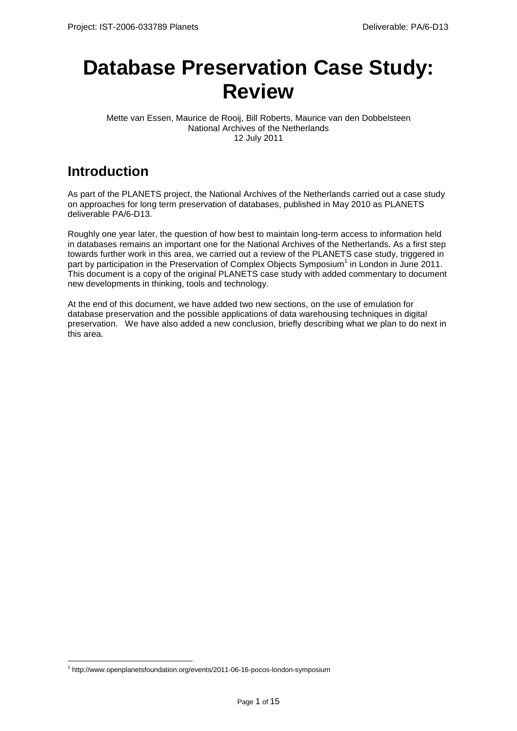# **Database Preservation Case Study: Review**

Mette van Essen, Maurice de Rooij, Bill Roberts, Maurice van den Dobbelsteen National Archives of the Netherlands 12 July 2011

# **Introduction**

As part of the PLANETS project, the National Archives of the Netherlands carried out a case study on approaches for long term preservation of databases, published in May 2010 as PLANETS deliverable PA/6-D13.

Roughly one year later, the question of how best to maintain long-term access to information held in databases remains an important one for the National Archives of the Netherlands. As a first step towards further work in this area, we carried out a review of the PLANETS case study, triggered in part by participation in the Preservation of Complex Objects Symposium<sup>1</sup> in London in June 2011. This document is a copy of the original PLANETS case study with added commentary to document new developments in thinking, tools and technology.

At the end of this document, we have added two new sections, on the use of emulation for database preservation and the possible applications of data warehousing techniques in digital preservation. We have also added a new conclusion, briefly describing what we plan to do next in this area.

 $\overline{a}$ 

<sup>&</sup>lt;sup>1</sup> http://www.openplanetsfoundation.org/events/2011-06-16-pocos-london-symposium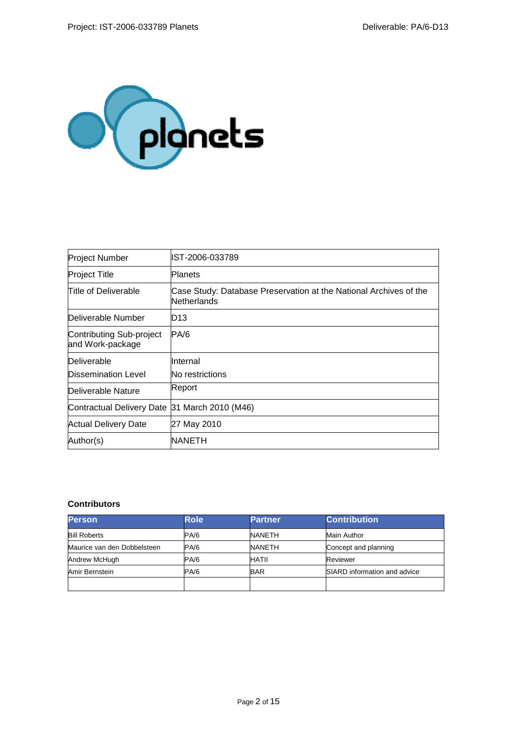

| <b>Project Number</b>                        | IST-2006-033789                                                                  |  |
|----------------------------------------------|----------------------------------------------------------------------------------|--|
| <b>Project Title</b>                         | Planets                                                                          |  |
| Title of Deliverable                         | Case Study: Database Preservation at the National Archives of the<br>Netherlands |  |
| Deliverable Number                           | D <sub>13</sub>                                                                  |  |
| Contributing Sub-project<br>and Work-package | PA/6                                                                             |  |
| Deliverable                                  | Internal                                                                         |  |
| Dissemination Level                          | No restrictions                                                                  |  |
| Deliverable Nature                           | Report                                                                           |  |
| Contractual Delivery Date                    | 31 March 2010 (M46)                                                              |  |
| Actual Delivery Date                         | 27 May 2010                                                                      |  |
| Author(s)                                    | <b>NANETH</b>                                                                    |  |

### **Contributors**

| <b>Person</b>               | <b>Role</b> | <b>Partner</b> | <b>Contribution</b>          |
|-----------------------------|-------------|----------------|------------------------------|
| <b>Bill Roberts</b>         | PA/6        | NANETH         | Main Author                  |
| Maurice van den Dobbelsteen | PA/6        | NANETH         | Concept and planning         |
| Andrew McHugh               | PA/6        | HATII          | Reviewer                     |
| Amir Bernstein              | PA/6        | BAR            | SIARD information and advice |
|                             |             |                |                              |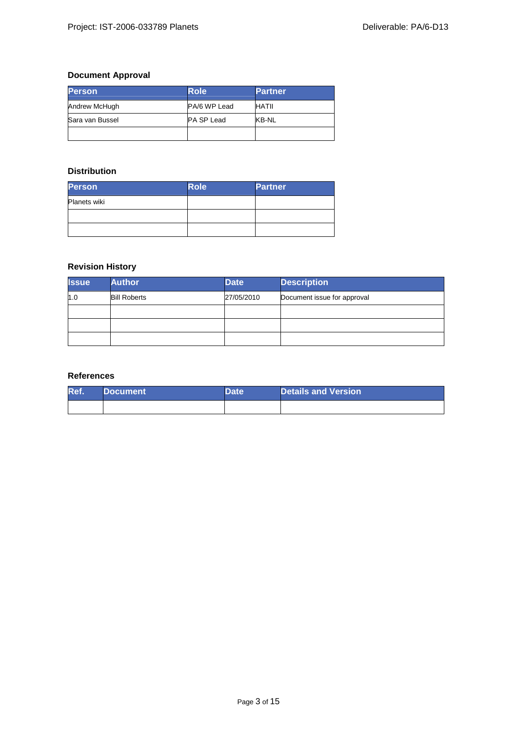### **Document Approval**

| <b>Person</b>   | <b>Role</b>       | <b>Partner</b> |
|-----------------|-------------------|----------------|
| Andrew McHugh   | PA/6 WP Lead      | HATII          |
| Sara van Bussel | <b>PA SP Lead</b> | KB-NL          |
|                 |                   |                |

### **Distribution**

| <b>Person</b>       | <b>Role</b> | <b>Partner</b> |
|---------------------|-------------|----------------|
| <b>Planets wiki</b> |             |                |
|                     |             |                |
|                     |             |                |

### **Revision History**

| <b>Issue</b> | <b>Author</b>       | <b>Date</b> | <b>Description</b>          |  |
|--------------|---------------------|-------------|-----------------------------|--|
| 1.0          | <b>Bill Roberts</b> | 27/05/2010  | Document issue for approval |  |
|              |                     |             |                             |  |
|              |                     |             |                             |  |
|              |                     |             |                             |  |

### **References**

| Ref. | <b>Document</b> | Date | <b>Details and Version</b> |
|------|-----------------|------|----------------------------|
|      |                 |      |                            |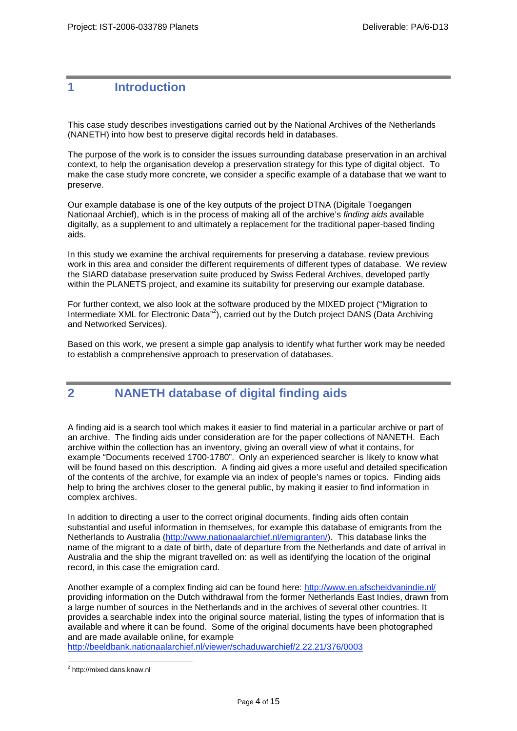### **1 Introduction**

This case study describes investigations carried out by the National Archives of the Netherlands (NANETH) into how best to preserve digital records held in databases.

The purpose of the work is to consider the issues surrounding database preservation in an archival context, to help the organisation develop a preservation strategy for this type of digital object. To make the case study more concrete, we consider a specific example of a database that we want to preserve.

Our example database is one of the key outputs of the project DTNA (Digitale Toegangen Nationaal Archief), which is in the process of making all of the archive's finding aids available digitally, as a supplement to and ultimately a replacement for the traditional paper-based finding aids.

In this study we examine the archival requirements for preserving a database, review previous work in this area and consider the different requirements of different types of database. We review the SIARD database preservation suite produced by Swiss Federal Archives, developed partly within the PLANETS project, and examine its suitability for preserving our example database.

For further context, we also look at the software produced by the MIXED project ("Migration to Intermediate XML for Electronic Data"<sup>2</sup>), carried out by the Dutch project DANS (Data Archiving and Networked Services).

Based on this work, we present a simple gap analysis to identify what further work may be needed to establish a comprehensive approach to preservation of databases.

### **2 NANETH database of digital finding aids**

A finding aid is a search tool which makes it easier to find material in a particular archive or part of an archive. The finding aids under consideration are for the paper collections of NANETH. Each archive within the collection has an inventory, giving an overall view of what it contains, for example "Documents received 1700-1780". Only an experienced searcher is likely to know what will be found based on this description. A finding aid gives a more useful and detailed specification of the contents of the archive, for example via an index of people's names or topics. Finding aids help to bring the archives closer to the general public, by making it easier to find information in complex archives.

In addition to directing a user to the correct original documents, finding aids often contain substantial and useful information in themselves, for example this database of emigrants from the Netherlands to Australia (http://www.nationaalarchief.nl/emigranten/). This database links the name of the migrant to a date of birth, date of departure from the Netherlands and date of arrival in Australia and the ship the migrant travelled on: as well as identifying the location of the original record, in this case the emigration card.

Another example of a complex finding aid can be found here: http://www.en.afscheidvanindie.nl/ providing information on the Dutch withdrawal from the former Netherlands East Indies, drawn from a large number of sources in the Netherlands and in the archives of several other countries. It provides a searchable index into the original source material, listing the types of information that is available and where it can be found. Some of the original documents have been photographed and are made available online, for example

http://beeldbank.nationaalarchief.nl/viewer/schaduwarchief/2.22.21/376/0003

 $\overline{a}$ 

<sup>&</sup>lt;sup>2</sup> http://mixed.dans.knaw.nl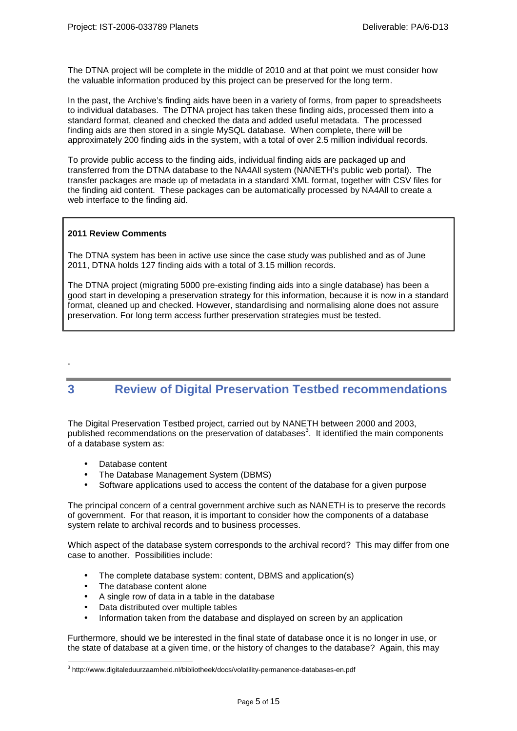The DTNA project will be complete in the middle of 2010 and at that point we must consider how the valuable information produced by this project can be preserved for the long term.

In the past, the Archive's finding aids have been in a variety of forms, from paper to spreadsheets to individual databases. The DTNA project has taken these finding aids, processed them into a standard format, cleaned and checked the data and added useful metadata. The processed finding aids are then stored in a single MySQL database. When complete, there will be approximately 200 finding aids in the system, with a total of over 2.5 million individual records.

To provide public access to the finding aids, individual finding aids are packaged up and transferred from the DTNA database to the NA4All system (NANETH's public web portal). The transfer packages are made up of metadata in a standard XML format, together with CSV files for the finding aid content. These packages can be automatically processed by NA4All to create a web interface to the finding aid.

### **2011 Review Comments**

.

The DTNA system has been in active use since the case study was published and as of June 2011, DTNA holds 127 finding aids with a total of 3.15 million records.

The DTNA project (migrating 5000 pre-existing finding aids into a single database) has been a good start in developing a preservation strategy for this information, because it is now in a standard format, cleaned up and checked. However, standardising and normalising alone does not assure preservation. For long term access further preservation strategies must be tested.

### **3 Review of Digital Preservation Testbed recommendations**

The Digital Preservation Testbed project, carried out by NANETH between 2000 and 2003, published recommendations on the preservation of databases<sup>3</sup>. It identified the main components of a database system as:

- Database content
- The Database Management System (DBMS)
- Software applications used to access the content of the database for a given purpose

The principal concern of a central government archive such as NANETH is to preserve the records of government. For that reason, it is important to consider how the components of a database system relate to archival records and to business processes.

Which aspect of the database system corresponds to the archival record? This may differ from one case to another. Possibilities include:

- The complete database system: content, DBMS and application(s)
- The database content alone
- A single row of data in a table in the database
- Data distributed over multiple tables
- Information taken from the database and displayed on screen by an application

Furthermore, should we be interested in the final state of database once it is no longer in use, or the state of database at a given time, or the history of changes to the database? Again, this may

 $\overline{a}$ <sup>3</sup> http://www.digitaleduurzaamheid.nl/bibliotheek/docs/volatility-permanence-databases-en.pdf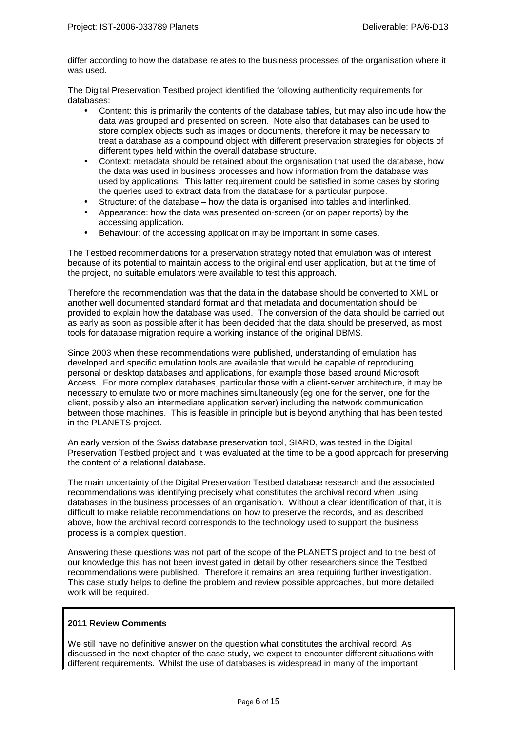differ according to how the database relates to the business processes of the organisation where it was used.

The Digital Preservation Testbed project identified the following authenticity requirements for databases:

- Content: this is primarily the contents of the database tables, but may also include how the data was grouped and presented on screen. Note also that databases can be used to store complex objects such as images or documents, therefore it may be necessary to treat a database as a compound object with different preservation strategies for objects of different types held within the overall database structure.
- Context: metadata should be retained about the organisation that used the database, how the data was used in business processes and how information from the database was used by applications. This latter requirement could be satisfied in some cases by storing the queries used to extract data from the database for a particular purpose.
- Structure: of the database how the data is organised into tables and interlinked.
- Appearance: how the data was presented on-screen (or on paper reports) by the accessing application.
- Behaviour: of the accessing application may be important in some cases.

The Testbed recommendations for a preservation strategy noted that emulation was of interest because of its potential to maintain access to the original end user application, but at the time of the project, no suitable emulators were available to test this approach.

Therefore the recommendation was that the data in the database should be converted to XML or another well documented standard format and that metadata and documentation should be provided to explain how the database was used. The conversion of the data should be carried out as early as soon as possible after it has been decided that the data should be preserved, as most tools for database migration require a working instance of the original DBMS.

Since 2003 when these recommendations were published, understanding of emulation has developed and specific emulation tools are available that would be capable of reproducing personal or desktop databases and applications, for example those based around Microsoft Access. For more complex databases, particular those with a client-server architecture, it may be necessary to emulate two or more machines simultaneously (eg one for the server, one for the client, possibly also an intermediate application server) including the network communication between those machines. This is feasible in principle but is beyond anything that has been tested in the PLANETS project.

An early version of the Swiss database preservation tool, SIARD, was tested in the Digital Preservation Testbed project and it was evaluated at the time to be a good approach for preserving the content of a relational database.

The main uncertainty of the Digital Preservation Testbed database research and the associated recommendations was identifying precisely what constitutes the archival record when using databases in the business processes of an organisation. Without a clear identification of that, it is difficult to make reliable recommendations on how to preserve the records, and as described above, how the archival record corresponds to the technology used to support the business process is a complex question.

Answering these questions was not part of the scope of the PLANETS project and to the best of our knowledge this has not been investigated in detail by other researchers since the Testbed recommendations were published. Therefore it remains an area requiring further investigation. This case study helps to define the problem and review possible approaches, but more detailed work will be required.

### **2011 Review Comments**

We still have no definitive answer on the question what constitutes the archival record. As discussed in the next chapter of the case study, we expect to encounter different situations with different requirements. Whilst the use of databases is widespread in many of the important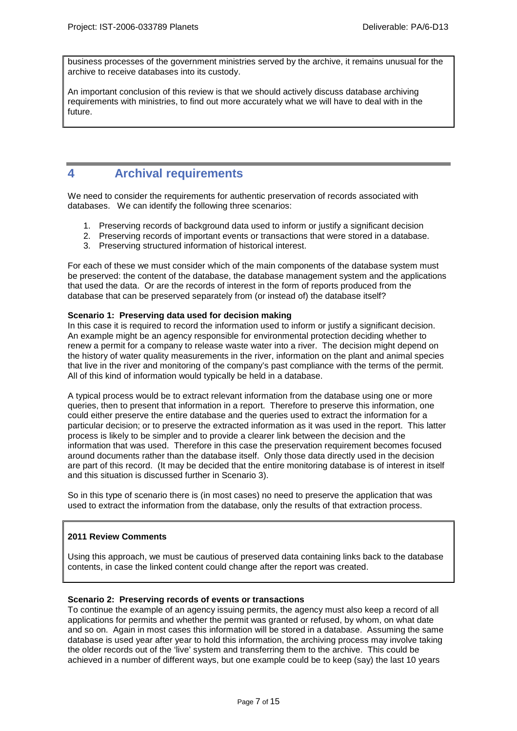business processes of the government ministries served by the archive, it remains unusual for the archive to receive databases into its custody.

An important conclusion of this review is that we should actively discuss database archiving requirements with ministries, to find out more accurately what we will have to deal with in the future.

### **4 Archival requirements**

We need to consider the requirements for authentic preservation of records associated with databases. We can identify the following three scenarios:

- 1. Preserving records of background data used to inform or justify a significant decision
- 2. Preserving records of important events or transactions that were stored in a database.
- 3. Preserving structured information of historical interest.

For each of these we must consider which of the main components of the database system must be preserved: the content of the database, the database management system and the applications that used the data. Or are the records of interest in the form of reports produced from the database that can be preserved separately from (or instead of) the database itself?

#### **Scenario 1: Preserving data used for decision making**

In this case it is required to record the information used to inform or justify a significant decision. An example might be an agency responsible for environmental protection deciding whether to renew a permit for a company to release waste water into a river. The decision might depend on the history of water quality measurements in the river, information on the plant and animal species that live in the river and monitoring of the company's past compliance with the terms of the permit. All of this kind of information would typically be held in a database.

A typical process would be to extract relevant information from the database using one or more queries, then to present that information in a report. Therefore to preserve this information, one could either preserve the entire database and the queries used to extract the information for a particular decision; or to preserve the extracted information as it was used in the report. This latter process is likely to be simpler and to provide a clearer link between the decision and the information that was used. Therefore in this case the preservation requirement becomes focused around documents rather than the database itself. Only those data directly used in the decision are part of this record. (It may be decided that the entire monitoring database is of interest in itself and this situation is discussed further in Scenario 3).

So in this type of scenario there is (in most cases) no need to preserve the application that was used to extract the information from the database, only the results of that extraction process.

### **2011 Review Comments**

Using this approach, we must be cautious of preserved data containing links back to the database contents, in case the linked content could change after the report was created.

#### **Scenario 2: Preserving records of events or transactions**

To continue the example of an agency issuing permits, the agency must also keep a record of all applications for permits and whether the permit was granted or refused, by whom, on what date and so on. Again in most cases this information will be stored in a database. Assuming the same database is used year after year to hold this information, the archiving process may involve taking the older records out of the 'live' system and transferring them to the archive. This could be achieved in a number of different ways, but one example could be to keep (say) the last 10 years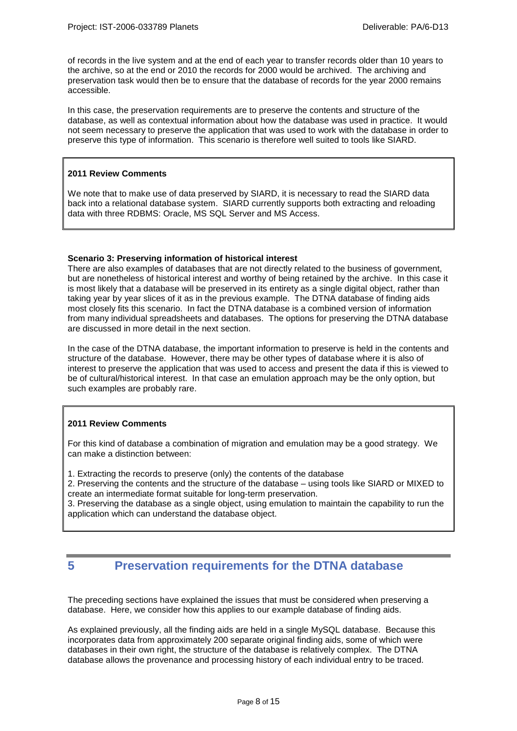of records in the live system and at the end of each year to transfer records older than 10 years to the archive, so at the end or 2010 the records for 2000 would be archived. The archiving and preservation task would then be to ensure that the database of records for the year 2000 remains accessible.

In this case, the preservation requirements are to preserve the contents and structure of the database, as well as contextual information about how the database was used in practice. It would not seem necessary to preserve the application that was used to work with the database in order to preserve this type of information. This scenario is therefore well suited to tools like SIARD.

#### **2011 Review Comments**

We note that to make use of data preserved by SIARD, it is necessary to read the SIARD data back into a relational database system. SIARD currently supports both extracting and reloading data with three RDBMS: Oracle, MS SQL Server and MS Access.

#### **Scenario 3: Preserving information of historical interest**

There are also examples of databases that are not directly related to the business of government, but are nonetheless of historical interest and worthy of being retained by the archive. In this case it is most likely that a database will be preserved in its entirety as a single digital object, rather than taking year by year slices of it as in the previous example. The DTNA database of finding aids most closely fits this scenario. In fact the DTNA database is a combined version of information from many individual spreadsheets and databases. The options for preserving the DTNA database are discussed in more detail in the next section.

In the case of the DTNA database, the important information to preserve is held in the contents and structure of the database. However, there may be other types of database where it is also of interest to preserve the application that was used to access and present the data if this is viewed to be of cultural/historical interest. In that case an emulation approach may be the only option, but such examples are probably rare.

### **2011 Review Comments**

For this kind of database a combination of migration and emulation may be a good strategy. We can make a distinction between:

1. Extracting the records to preserve (only) the contents of the database

2. Preserving the contents and the structure of the database – using tools like SIARD or MIXED to create an intermediate format suitable for long-term preservation.

3. Preserving the database as a single object, using emulation to maintain the capability to run the application which can understand the database object.

### **5 Preservation requirements for the DTNA database**

The preceding sections have explained the issues that must be considered when preserving a database. Here, we consider how this applies to our example database of finding aids.

As explained previously, all the finding aids are held in a single MySQL database. Because this incorporates data from approximately 200 separate original finding aids, some of which were databases in their own right, the structure of the database is relatively complex. The DTNA database allows the provenance and processing history of each individual entry to be traced.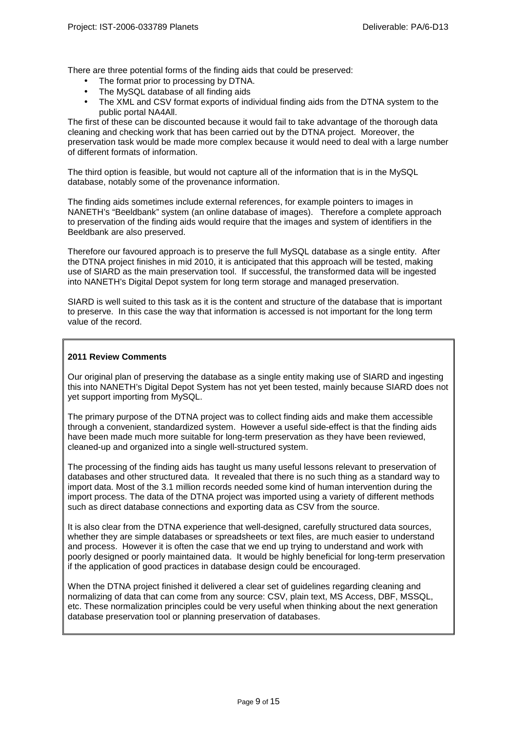There are three potential forms of the finding aids that could be preserved:

- The format prior to processing by DTNA.
- The MySQL database of all finding aids
- The XML and CSV format exports of individual finding aids from the DTNA system to the public portal NA4All.

The first of these can be discounted because it would fail to take advantage of the thorough data cleaning and checking work that has been carried out by the DTNA project. Moreover, the preservation task would be made more complex because it would need to deal with a large number of different formats of information.

The third option is feasible, but would not capture all of the information that is in the MySQL database, notably some of the provenance information.

The finding aids sometimes include external references, for example pointers to images in NANETH's "Beeldbank" system (an online database of images). Therefore a complete approach to preservation of the finding aids would require that the images and system of identifiers in the Beeldbank are also preserved.

Therefore our favoured approach is to preserve the full MySQL database as a single entity. After the DTNA project finishes in mid 2010, it is anticipated that this approach will be tested, making use of SIARD as the main preservation tool. If successful, the transformed data will be ingested into NANETH's Digital Depot system for long term storage and managed preservation.

SIARD is well suited to this task as it is the content and structure of the database that is important to preserve. In this case the way that information is accessed is not important for the long term value of the record.

#### **2011 Review Comments**

Our original plan of preserving the database as a single entity making use of SIARD and ingesting this into NANETH's Digital Depot System has not yet been tested, mainly because SIARD does not yet support importing from MySQL.

The primary purpose of the DTNA project was to collect finding aids and make them accessible through a convenient, standardized system. However a useful side-effect is that the finding aids have been made much more suitable for long-term preservation as they have been reviewed, cleaned-up and organized into a single well-structured system.

The processing of the finding aids has taught us many useful lessons relevant to preservation of databases and other structured data. It revealed that there is no such thing as a standard way to import data. Most of the 3.1 million records needed some kind of human intervention during the import process. The data of the DTNA project was imported using a variety of different methods such as direct database connections and exporting data as CSV from the source.

It is also clear from the DTNA experience that well-designed, carefully structured data sources, whether they are simple databases or spreadsheets or text files, are much easier to understand and process. However it is often the case that we end up trying to understand and work with poorly designed or poorly maintained data. It would be highly beneficial for long-term preservation if the application of good practices in database design could be encouraged.

When the DTNA project finished it delivered a clear set of guidelines regarding cleaning and normalizing of data that can come from any source: CSV, plain text, MS Access, DBF, MSSQL, etc. These normalization principles could be very useful when thinking about the next generation database preservation tool or planning preservation of databases.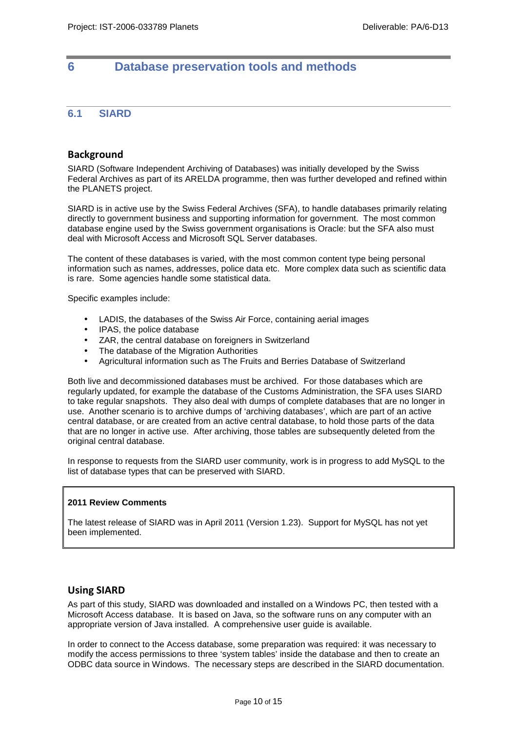# **6 Database preservation tools and methods**

### **6.1 SIARD**

### Background

SIARD (Software Independent Archiving of Databases) was initially developed by the Swiss Federal Archives as part of its ARELDA programme, then was further developed and refined within the PLANETS project.

SIARD is in active use by the Swiss Federal Archives (SFA), to handle databases primarily relating directly to government business and supporting information for government. The most common database engine used by the Swiss government organisations is Oracle: but the SFA also must deal with Microsoft Access and Microsoft SQL Server databases.

The content of these databases is varied, with the most common content type being personal information such as names, addresses, police data etc. More complex data such as scientific data is rare. Some agencies handle some statistical data.

Specific examples include:

- LADIS, the databases of the Swiss Air Force, containing aerial images
- IPAS, the police database
- ZAR, the central database on foreigners in Switzerland
- The database of the Migration Authorities
- Agricultural information such as The Fruits and Berries Database of Switzerland

Both live and decommissioned databases must be archived. For those databases which are regularly updated, for example the database of the Customs Administration, the SFA uses SIARD to take regular snapshots. They also deal with dumps of complete databases that are no longer in use. Another scenario is to archive dumps of 'archiving databases', which are part of an active central database, or are created from an active central database, to hold those parts of the data that are no longer in active use. After archiving, those tables are subsequently deleted from the original central database.

In response to requests from the SIARD user community, work is in progress to add MySQL to the list of database types that can be preserved with SIARD.

#### **2011 Review Comments**

The latest release of SIARD was in April 2011 (Version 1.23). Support for MySQL has not yet been implemented.

### Using SIARD

As part of this study, SIARD was downloaded and installed on a Windows PC, then tested with a Microsoft Access database. It is based on Java, so the software runs on any computer with an appropriate version of Java installed. A comprehensive user guide is available.

In order to connect to the Access database, some preparation was required: it was necessary to modify the access permissions to three 'system tables' inside the database and then to create an ODBC data source in Windows. The necessary steps are described in the SIARD documentation.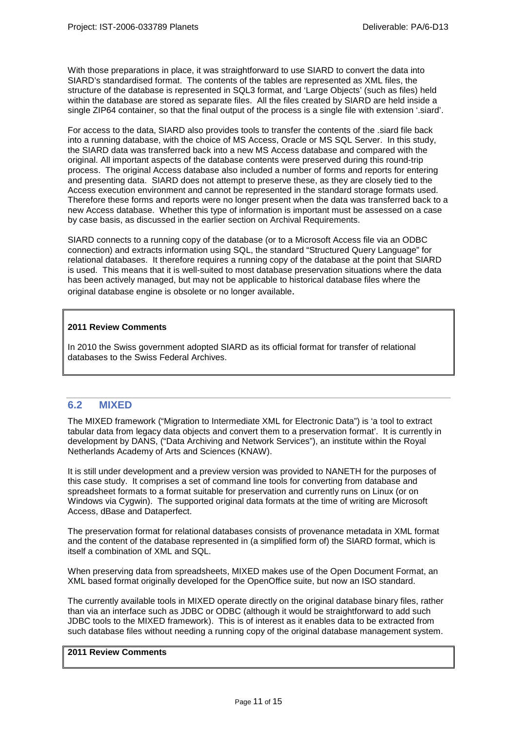With those preparations in place, it was straightforward to use SIARD to convert the data into SIARD's standardised format. The contents of the tables are represented as XML files, the structure of the database is represented in SQL3 format, and 'Large Objects' (such as files) held within the database are stored as separate files. All the files created by SIARD are held inside a single ZIP64 container, so that the final output of the process is a single file with extension '.siard'.

For access to the data, SIARD also provides tools to transfer the contents of the .siard file back into a running database, with the choice of MS Access, Oracle or MS SQL Server. In this study, the SIARD data was transferred back into a new MS Access database and compared with the original. All important aspects of the database contents were preserved during this round-trip process. The original Access database also included a number of forms and reports for entering and presenting data. SIARD does not attempt to preserve these, as they are closely tied to the Access execution environment and cannot be represented in the standard storage formats used. Therefore these forms and reports were no longer present when the data was transferred back to a new Access database. Whether this type of information is important must be assessed on a case by case basis, as discussed in the earlier section on Archival Requirements.

SIARD connects to a running copy of the database (or to a Microsoft Access file via an ODBC connection) and extracts information using SQL, the standard "Structured Query Language" for relational databases. It therefore requires a running copy of the database at the point that SIARD is used. This means that it is well-suited to most database preservation situations where the data has been actively managed, but may not be applicable to historical database files where the original database engine is obsolete or no longer available.

### **2011 Review Comments**

In 2010 the Swiss government adopted SIARD as its official format for transfer of relational databases to the Swiss Federal Archives.

### **6.2 MIXED**

The MIXED framework ("Migration to Intermediate XML for Electronic Data") is 'a tool to extract tabular data from legacy data objects and convert them to a preservation format'. It is currently in development by DANS, ("Data Archiving and Network Services"), an institute within the Royal Netherlands Academy of Arts and Sciences (KNAW).

It is still under development and a preview version was provided to NANETH for the purposes of this case study. It comprises a set of command line tools for converting from database and spreadsheet formats to a format suitable for preservation and currently runs on Linux (or on Windows via Cygwin). The supported original data formats at the time of writing are Microsoft Access, dBase and Dataperfect.

The preservation format for relational databases consists of provenance metadata in XML format and the content of the database represented in (a simplified form of) the SIARD format, which is itself a combination of XML and SQL.

When preserving data from spreadsheets, MIXED makes use of the Open Document Format, an XML based format originally developed for the OpenOffice suite, but now an ISO standard.

The currently available tools in MIXED operate directly on the original database binary files, rather than via an interface such as JDBC or ODBC (although it would be straightforward to add such JDBC tools to the MIXED framework). This is of interest as it enables data to be extracted from such database files without needing a running copy of the original database management system.

### **2011 Review Comments**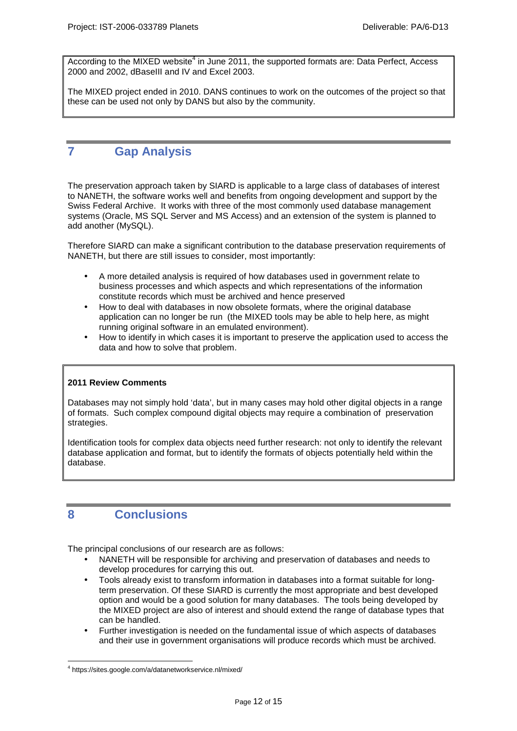According to the MIXED website<sup>4</sup> in June 2011, the supported formats are: Data Perfect, Access 2000 and 2002, dBaseIII and IV and Excel 2003.

The MIXED project ended in 2010. DANS continues to work on the outcomes of the project so that these can be used not only by DANS but also by the community.

### **7 Gap Analysis**

The preservation approach taken by SIARD is applicable to a large class of databases of interest to NANETH, the software works well and benefits from ongoing development and support by the Swiss Federal Archive. It works with three of the most commonly used database management systems (Oracle, MS SQL Server and MS Access) and an extension of the system is planned to add another (MySQL).

Therefore SIARD can make a significant contribution to the database preservation requirements of NANETH, but there are still issues to consider, most importantly:

- A more detailed analysis is required of how databases used in government relate to business processes and which aspects and which representations of the information constitute records which must be archived and hence preserved
- How to deal with databases in now obsolete formats, where the original database application can no longer be run (the MIXED tools may be able to help here, as might running original software in an emulated environment).
- How to identify in which cases it is important to preserve the application used to access the data and how to solve that problem.

### **2011 Review Comments**

Databases may not simply hold 'data', but in many cases may hold other digital objects in a range of formats. Such complex compound digital objects may require a combination of preservation strategies.

Identification tools for complex data objects need further research: not only to identify the relevant database application and format, but to identify the formats of objects potentially held within the database.

### **8 Conclusions**

The principal conclusions of our research are as follows:

- NANETH will be responsible for archiving and preservation of databases and needs to develop procedures for carrying this out.
- Tools already exist to transform information in databases into a format suitable for longterm preservation. Of these SIARD is currently the most appropriate and best developed option and would be a good solution for many databases. The tools being developed by the MIXED project are also of interest and should extend the range of database types that can be handled.
- Further investigation is needed on the fundamental issue of which aspects of databases and their use in government organisations will produce records which must be archived.

 $\overline{a}$ 4 https://sites.google.com/a/datanetworkservice.nl/mixed/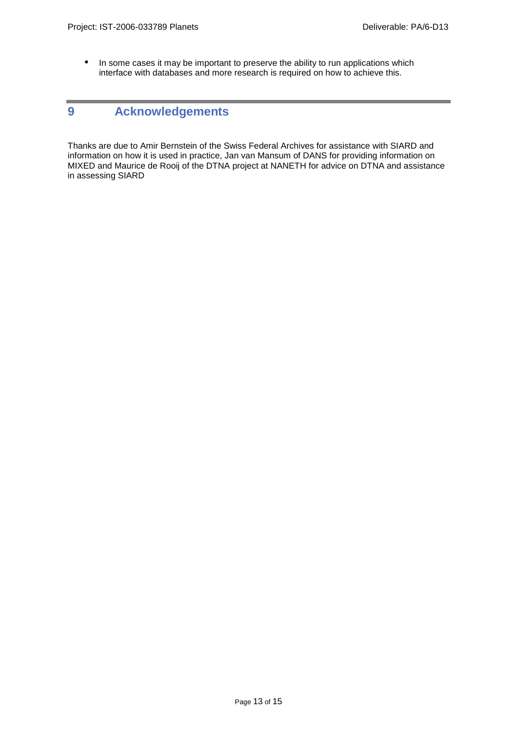• In some cases it may be important to preserve the ability to run applications which interface with databases and more research is required on how to achieve this.

## **9 Acknowledgements**

Thanks are due to Amir Bernstein of the Swiss Federal Archives for assistance with SIARD and information on how it is used in practice, Jan van Mansum of DANS for providing information on MIXED and Maurice de Rooij of the DTNA project at NANETH for advice on DTNA and assistance in assessing SIARD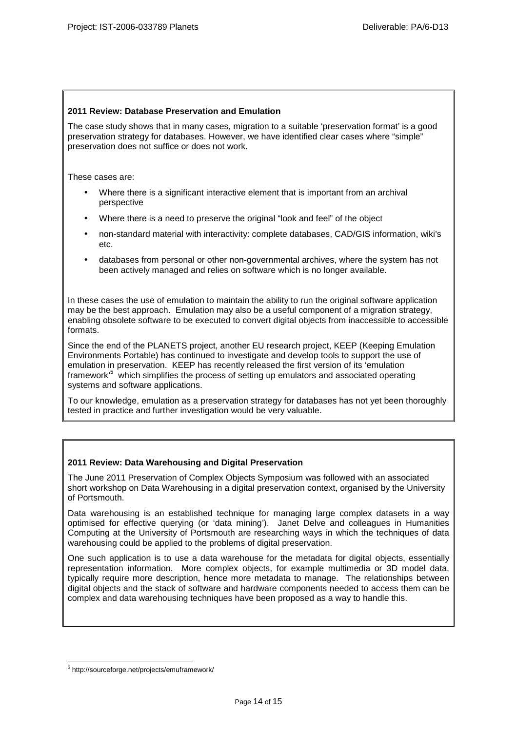### **2011 Review: Database Preservation and Emulation**

The case study shows that in many cases, migration to a suitable 'preservation format' is a good preservation strategy for databases. However, we have identified clear cases where "simple" preservation does not suffice or does not work.

These cases are:

- Where there is a significant interactive element that is important from an archival perspective
- Where there is a need to preserve the original "look and feel" of the object
- non-standard material with interactivity: complete databases, CAD/GIS information, wiki's etc.
- databases from personal or other non-governmental archives, where the system has not been actively managed and relies on software which is no longer available.

In these cases the use of emulation to maintain the ability to run the original software application may be the best approach. Emulation may also be a useful component of a migration strategy, enabling obsolete software to be executed to convert digital objects from inaccessible to accessible formats.

Since the end of the PLANETS project, another EU research project, KEEP (Keeping Emulation Environments Portable) has continued to investigate and develop tools to support the use of emulation in preservation. KEEP has recently released the first version of its 'emulation framework<sup>,5</sup> which simplifies the process of setting up emulators and associated operating systems and software applications.

To our knowledge, emulation as a preservation strategy for databases has not yet been thoroughly tested in practice and further investigation would be very valuable.

### **2011 Review: Data Warehousing and Digital Preservation**

The June 2011 Preservation of Complex Objects Symposium was followed with an associated short workshop on Data Warehousing in a digital preservation context, organised by the University of Portsmouth.

Data warehousing is an established technique for managing large complex datasets in a way optimised for effective querying (or 'data mining'). Janet Delve and colleagues in Humanities Computing at the University of Portsmouth are researching ways in which the techniques of data warehousing could be applied to the problems of digital preservation.

One such application is to use a data warehouse for the metadata for digital objects, essentially representation information. More complex objects, for example multimedia or 3D model data, typically require more description, hence more metadata to manage. The relationships between digital objects and the stack of software and hardware components needed to access them can be complex and data warehousing techniques have been proposed as a way to handle this.

 $\overline{a}$ 5 http://sourceforge.net/projects/emuframework/